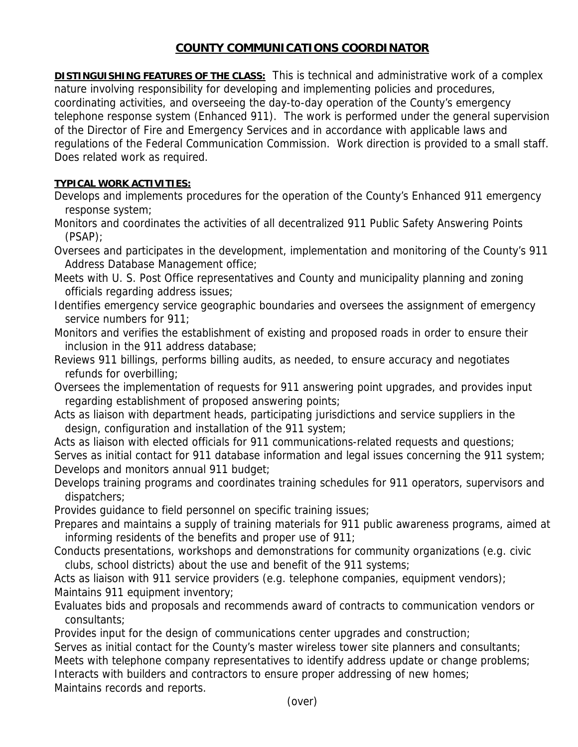## **COUNTY COMMUNICATIONS COORDINATOR**

**DISTINGUISHING FEATURES OF THE CLASS:** This is technical and administrative work of a complex nature involving responsibility for developing and implementing policies and procedures, coordinating activities, and overseeing the day-to-day operation of the County's emergency telephone response system (Enhanced 911). The work is performed under the general supervision of the Director of Fire and Emergency Services and in accordance with applicable laws and regulations of the Federal Communication Commission. Work direction is provided to a small staff. Does related work as required.

## **TYPICAL WORK ACTIVITIES:**

Develops and implements procedures for the operation of the County's Enhanced 911 emergency response system;

Monitors and coordinates the activities of all decentralized 911 Public Safety Answering Points (PSAP);

Oversees and participates in the development, implementation and monitoring of the County's 911 Address Database Management office;

Meets with U. S. Post Office representatives and County and municipality planning and zoning officials regarding address issues;

Identifies emergency service geographic boundaries and oversees the assignment of emergency service numbers for 911;

Monitors and verifies the establishment of existing and proposed roads in order to ensure their inclusion in the 911 address database;

Reviews 911 billings, performs billing audits, as needed, to ensure accuracy and negotiates refunds for overbilling;

Oversees the implementation of requests for 911 answering point upgrades, and provides input regarding establishment of proposed answering points;

Acts as liaison with department heads, participating jurisdictions and service suppliers in the design, configuration and installation of the 911 system;

Acts as liaison with elected officials for 911 communications-related requests and questions; Serves as initial contact for 911 database information and legal issues concerning the 911 system; Develops and monitors annual 911 budget;

Develops training programs and coordinates training schedules for 911 operators, supervisors and dispatchers;

Provides guidance to field personnel on specific training issues;

Prepares and maintains a supply of training materials for 911 public awareness programs, aimed at informing residents of the benefits and proper use of 911;

Conducts presentations, workshops and demonstrations for community organizations (e.g. civic clubs, school districts) about the use and benefit of the 911 systems;

Acts as liaison with 911 service providers (e.g. telephone companies, equipment vendors); Maintains 911 equipment inventory;

Evaluates bids and proposals and recommends award of contracts to communication vendors or consultants;

Provides input for the design of communications center upgrades and construction;

Serves as initial contact for the County's master wireless tower site planners and consultants;

Meets with telephone company representatives to identify address update or change problems;

Interacts with builders and contractors to ensure proper addressing of new homes;

Maintains records and reports.